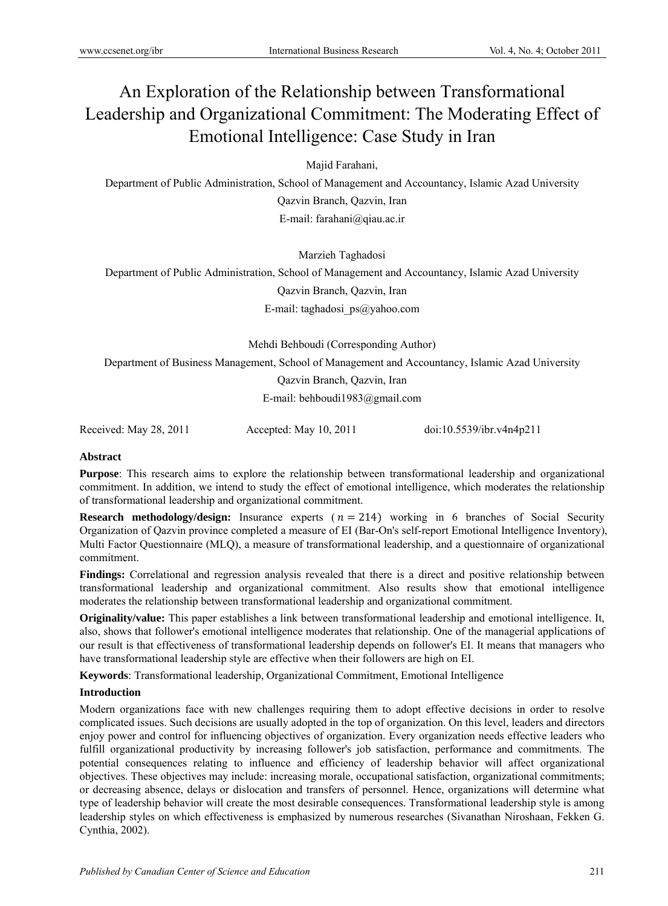# An Exploration of the Relationship between Transformational Leadership and Organizational Commitment: The Moderating Effect of Emotional Intelligence: Case Study in Iran

Majid Farahani,

Department of Public Administration, School of Management and Accountancy, Islamic Azad University Qazvin Branch, Qazvin, Iran

E-mail: farahani@qiau.ac.ir

Marzieh Taghadosi

Department of Public Administration, School of Management and Accountancy, Islamic Azad University Qazvin Branch, Qazvin, Iran E-mail: taghadosi\_ps@yahoo.com

Mehdi Behboudi (Corresponding Author)

Department of Business Management, School of Management and Accountancy, Islamic Azad University Qazvin Branch, Qazvin, Iran E-mail: behboudi1983@gmail.com

Received: May 28, 2011 Accepted: May 10, 2011 doi:10.5539/ibr.v4n4p211

## **Abstract**

**Purpose**: This research aims to explore the relationship between transformational leadership and organizational commitment. In addition, we intend to study the effect of emotional intelligence, which moderates the relationship of transformational leadership and organizational commitment.

**Research methodology/design:** Insurance experts  $(n = 214)$  working in 6 branches of Social Security Organization of Qazvin province completed a measure of EI (Bar-On's self-report Emotional Intelligence Inventory), Multi Factor Questionnaire (MLQ), a measure of transformational leadership, and a questionnaire of organizational commitment.

**Findings:** Correlational and regression analysis revealed that there is a direct and positive relationship between transformational leadership and organizational commitment. Also results show that emotional intelligence moderates the relationship between transformational leadership and organizational commitment.

**Originality/value:** This paper establishes a link between transformational leadership and emotional intelligence. It, also, shows that follower's emotional intelligence moderates that relationship. One of the managerial applications of our result is that effectiveness of transformational leadership depends on follower's EI. It means that managers who have transformational leadership style are effective when their followers are high on EI.

**Keywords**: Transformational leadership, Organizational Commitment, Emotional Intelligence

## **Introduction**

Modern organizations face with new challenges requiring them to adopt effective decisions in order to resolve complicated issues. Such decisions are usually adopted in the top of organization. On this level, leaders and directors enjoy power and control for influencing objectives of organization. Every organization needs effective leaders who fulfill organizational productivity by increasing follower's job satisfaction, performance and commitments. The potential consequences relating to influence and efficiency of leadership behavior will affect organizational objectives. These objectives may include: increasing morale, occupational satisfaction, organizational commitments; or decreasing absence, delays or dislocation and transfers of personnel. Hence, organizations will determine what type of leadership behavior will create the most desirable consequences. Transformational leadership style is among leadership styles on which effectiveness is emphasized by numerous researches (Sivanathan Niroshaan, Fekken G. Cynthia, 2002).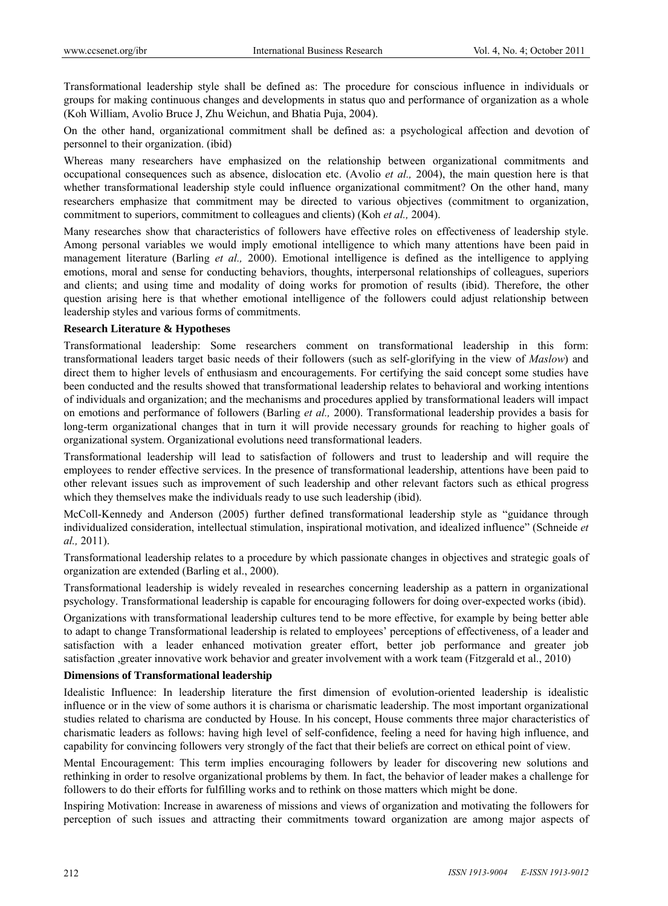Transformational leadership style shall be defined as: The procedure for conscious influence in individuals or groups for making continuous changes and developments in status quo and performance of organization as a whole (Koh William, Avolio Bruce J, Zhu Weichun, and Bhatia Puja, 2004).

On the other hand, organizational commitment shall be defined as: a psychological affection and devotion of personnel to their organization. (ibid)

Whereas many researchers have emphasized on the relationship between organizational commitments and occupational consequences such as absence, dislocation etc. (Avolio *et al.,* 2004), the main question here is that whether transformational leadership style could influence organizational commitment? On the other hand, many researchers emphasize that commitment may be directed to various objectives (commitment to organization, commitment to superiors, commitment to colleagues and clients) (Koh *et al.,* 2004).

Many researches show that characteristics of followers have effective roles on effectiveness of leadership style. Among personal variables we would imply emotional intelligence to which many attentions have been paid in management literature (Barling *et al.,* 2000). Emotional intelligence is defined as the intelligence to applying emotions, moral and sense for conducting behaviors, thoughts, interpersonal relationships of colleagues, superiors and clients; and using time and modality of doing works for promotion of results (ibid). Therefore, the other question arising here is that whether emotional intelligence of the followers could adjust relationship between leadership styles and various forms of commitments.

#### **Research Literature & Hypotheses**

Transformational leadership: Some researchers comment on transformational leadership in this form: transformational leaders target basic needs of their followers (such as self-glorifying in the view of *Maslow*) and direct them to higher levels of enthusiasm and encouragements. For certifying the said concept some studies have been conducted and the results showed that transformational leadership relates to behavioral and working intentions of individuals and organization; and the mechanisms and procedures applied by transformational leaders will impact on emotions and performance of followers (Barling *et al.,* 2000). Transformational leadership provides a basis for long-term organizational changes that in turn it will provide necessary grounds for reaching to higher goals of organizational system. Organizational evolutions need transformational leaders.

Transformational leadership will lead to satisfaction of followers and trust to leadership and will require the employees to render effective services. In the presence of transformational leadership, attentions have been paid to other relevant issues such as improvement of such leadership and other relevant factors such as ethical progress which they themselves make the individuals ready to use such leadership (ibid).

McColl-Kennedy and Anderson (2005) further defined transformational leadership style as "guidance through individualized consideration, intellectual stimulation, inspirational motivation, and idealized influence" (Schneide *et al.,* 2011).

Transformational leadership relates to a procedure by which passionate changes in objectives and strategic goals of organization are extended (Barling et al., 2000).

Transformational leadership is widely revealed in researches concerning leadership as a pattern in organizational psychology. Transformational leadership is capable for encouraging followers for doing over-expected works (ibid).

Organizations with transformational leadership cultures tend to be more effective, for example by being better able to adapt to change Transformational leadership is related to employees' perceptions of effectiveness, of a leader and satisfaction with a leader enhanced motivation greater effort, better job performance and greater job satisfaction ,greater innovative work behavior and greater involvement with a work team (Fitzgerald et al., 2010)

#### **Dimensions of Transformational leadership**

Idealistic Influence: In leadership literature the first dimension of evolution-oriented leadership is idealistic influence or in the view of some authors it is charisma or charismatic leadership. The most important organizational studies related to charisma are conducted by House. In his concept, House comments three major characteristics of charismatic leaders as follows: having high level of self-confidence, feeling a need for having high influence, and capability for convincing followers very strongly of the fact that their beliefs are correct on ethical point of view.

Mental Encouragement: This term implies encouraging followers by leader for discovering new solutions and rethinking in order to resolve organizational problems by them. In fact, the behavior of leader makes a challenge for followers to do their efforts for fulfilling works and to rethink on those matters which might be done.

Inspiring Motivation: Increase in awareness of missions and views of organization and motivating the followers for perception of such issues and attracting their commitments toward organization are among major aspects of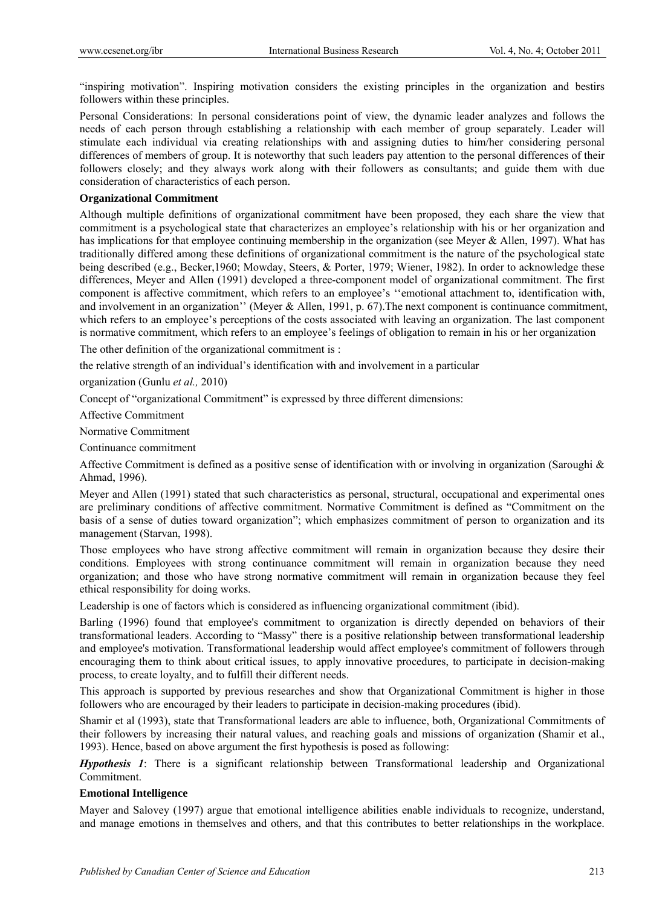"inspiring motivation". Inspiring motivation considers the existing principles in the organization and bestirs followers within these principles.

Personal Considerations: In personal considerations point of view, the dynamic leader analyzes and follows the needs of each person through establishing a relationship with each member of group separately. Leader will stimulate each individual via creating relationships with and assigning duties to him/her considering personal differences of members of group. It is noteworthy that such leaders pay attention to the personal differences of their followers closely; and they always work along with their followers as consultants; and guide them with due consideration of characteristics of each person.

## **Organizational Commitment**

Although multiple definitions of organizational commitment have been proposed, they each share the view that commitment is a psychological state that characterizes an employee's relationship with his or her organization and has implications for that employee continuing membership in the organization (see Meyer & Allen, 1997). What has traditionally differed among these definitions of organizational commitment is the nature of the psychological state being described (e.g., Becker, 1960; Mowday, Steers, & Porter, 1979; Wiener, 1982). In order to acknowledge these differences, Meyer and Allen (1991) developed a three-component model of organizational commitment. The first component is affective commitment, which refers to an employee's ''emotional attachment to, identification with, and involvement in an organization'' (Meyer & Allen, 1991, p. 67).The next component is continuance commitment, which refers to an employee's perceptions of the costs associated with leaving an organization. The last component is normative commitment, which refers to an employee's feelings of obligation to remain in his or her organization

The other definition of the organizational commitment is :

the relative strength of an individual's identification with and involvement in a particular

organization (Gunlu *et al.,* 2010)

Concept of "organizational Commitment" is expressed by three different dimensions:

Affective Commitment

Normative Commitment

Continuance commitment

Affective Commitment is defined as a positive sense of identification with or involving in organization (Saroughi  $\&$ Ahmad, 1996).

Meyer and Allen (1991) stated that such characteristics as personal, structural, occupational and experimental ones are preliminary conditions of affective commitment. Normative Commitment is defined as "Commitment on the basis of a sense of duties toward organization"; which emphasizes commitment of person to organization and its management (Starvan, 1998).

Those employees who have strong affective commitment will remain in organization because they desire their conditions. Employees with strong continuance commitment will remain in organization because they need organization; and those who have strong normative commitment will remain in organization because they feel ethical responsibility for doing works.

Leadership is one of factors which is considered as influencing organizational commitment (ibid).

Barling (1996) found that employee's commitment to organization is directly depended on behaviors of their transformational leaders. According to "Massy" there is a positive relationship between transformational leadership and employee's motivation. Transformational leadership would affect employee's commitment of followers through encouraging them to think about critical issues, to apply innovative procedures, to participate in decision-making process, to create loyalty, and to fulfill their different needs.

This approach is supported by previous researches and show that Organizational Commitment is higher in those followers who are encouraged by their leaders to participate in decision-making procedures (ibid).

Shamir et al (1993), state that Transformational leaders are able to influence, both, Organizational Commitments of their followers by increasing their natural values, and reaching goals and missions of organization (Shamir et al., 1993). Hence, based on above argument the first hypothesis is posed as following:

*Hypothesis 1*: There is a significant relationship between Transformational leadership and Organizational Commitment.

## **Emotional Intelligence**

Mayer and Salovey (1997) argue that emotional intelligence abilities enable individuals to recognize, understand, and manage emotions in themselves and others, and that this contributes to better relationships in the workplace.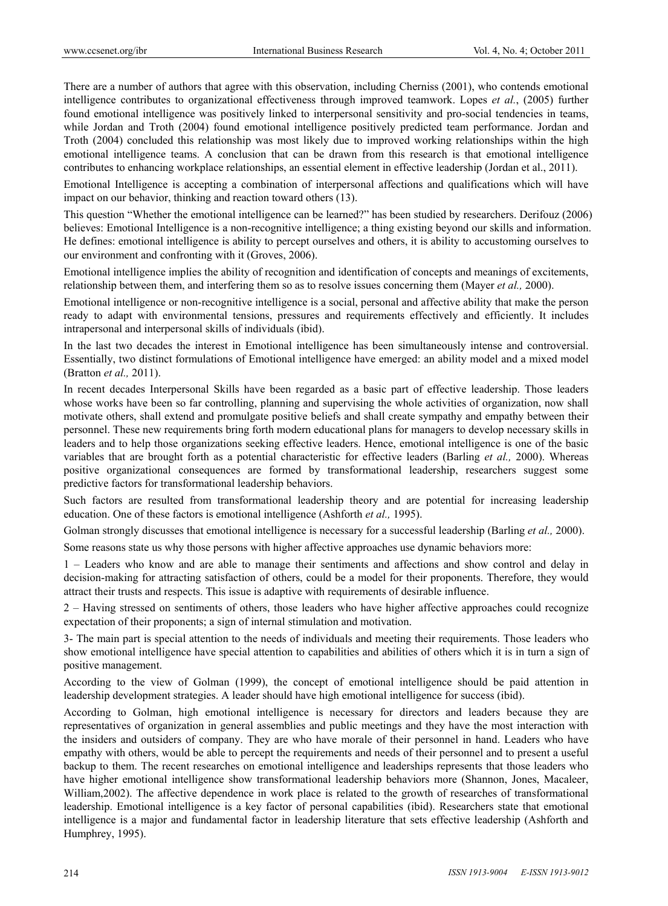There are a number of authors that agree with this observation, including Cherniss (2001), who contends emotional intelligence contributes to organizational effectiveness through improved teamwork. Lopes *et al.*, (2005) further found emotional intelligence was positively linked to interpersonal sensitivity and pro-social tendencies in teams, while Jordan and Troth (2004) found emotional intelligence positively predicted team performance. Jordan and Troth (2004) concluded this relationship was most likely due to improved working relationships within the high emotional intelligence teams. A conclusion that can be drawn from this research is that emotional intelligence contributes to enhancing workplace relationships, an essential element in effective leadership (Jordan et al., 2011).

Emotional Intelligence is accepting a combination of interpersonal affections and qualifications which will have impact on our behavior, thinking and reaction toward others (13).

This question "Whether the emotional intelligence can be learned?" has been studied by researchers. Derifouz (2006) believes: Emotional Intelligence is a non-recognitive intelligence; a thing existing beyond our skills and information. He defines: emotional intelligence is ability to percept ourselves and others, it is ability to accustoming ourselves to our environment and confronting with it (Groves, 2006).

Emotional intelligence implies the ability of recognition and identification of concepts and meanings of excitements, relationship between them, and interfering them so as to resolve issues concerning them (Mayer *et al.,* 2000).

Emotional intelligence or non-recognitive intelligence is a social, personal and affective ability that make the person ready to adapt with environmental tensions, pressures and requirements effectively and efficiently. It includes intrapersonal and interpersonal skills of individuals (ibid).

In the last two decades the interest in Emotional intelligence has been simultaneously intense and controversial. Essentially, two distinct formulations of Emotional intelligence have emerged: an ability model and a mixed model (Bratton *et al.,* 2011).

In recent decades Interpersonal Skills have been regarded as a basic part of effective leadership. Those leaders whose works have been so far controlling, planning and supervising the whole activities of organization, now shall motivate others, shall extend and promulgate positive beliefs and shall create sympathy and empathy between their personnel. These new requirements bring forth modern educational plans for managers to develop necessary skills in leaders and to help those organizations seeking effective leaders. Hence, emotional intelligence is one of the basic variables that are brought forth as a potential characteristic for effective leaders (Barling *et al.,* 2000). Whereas positive organizational consequences are formed by transformational leadership, researchers suggest some predictive factors for transformational leadership behaviors.

Such factors are resulted from transformational leadership theory and are potential for increasing leadership education. One of these factors is emotional intelligence (Ashforth *et al.,* 1995).

Golman strongly discusses that emotional intelligence is necessary for a successful leadership (Barling *et al.,* 2000).

Some reasons state us why those persons with higher affective approaches use dynamic behaviors more:

1 – Leaders who know and are able to manage their sentiments and affections and show control and delay in decision-making for attracting satisfaction of others, could be a model for their proponents. Therefore, they would attract their trusts and respects. This issue is adaptive with requirements of desirable influence.

2 – Having stressed on sentiments of others, those leaders who have higher affective approaches could recognize expectation of their proponents; a sign of internal stimulation and motivation.

3- The main part is special attention to the needs of individuals and meeting their requirements. Those leaders who show emotional intelligence have special attention to capabilities and abilities of others which it is in turn a sign of positive management.

According to the view of Golman (1999), the concept of emotional intelligence should be paid attention in leadership development strategies. A leader should have high emotional intelligence for success (ibid).

According to Golman, high emotional intelligence is necessary for directors and leaders because they are representatives of organization in general assemblies and public meetings and they have the most interaction with the insiders and outsiders of company. They are who have morale of their personnel in hand. Leaders who have empathy with others, would be able to percept the requirements and needs of their personnel and to present a useful backup to them. The recent researches on emotional intelligence and leaderships represents that those leaders who have higher emotional intelligence show transformational leadership behaviors more (Shannon, Jones, Macaleer, William,2002). The affective dependence in work place is related to the growth of researches of transformational leadership. Emotional intelligence is a key factor of personal capabilities (ibid). Researchers state that emotional intelligence is a major and fundamental factor in leadership literature that sets effective leadership (Ashforth and Humphrey, 1995).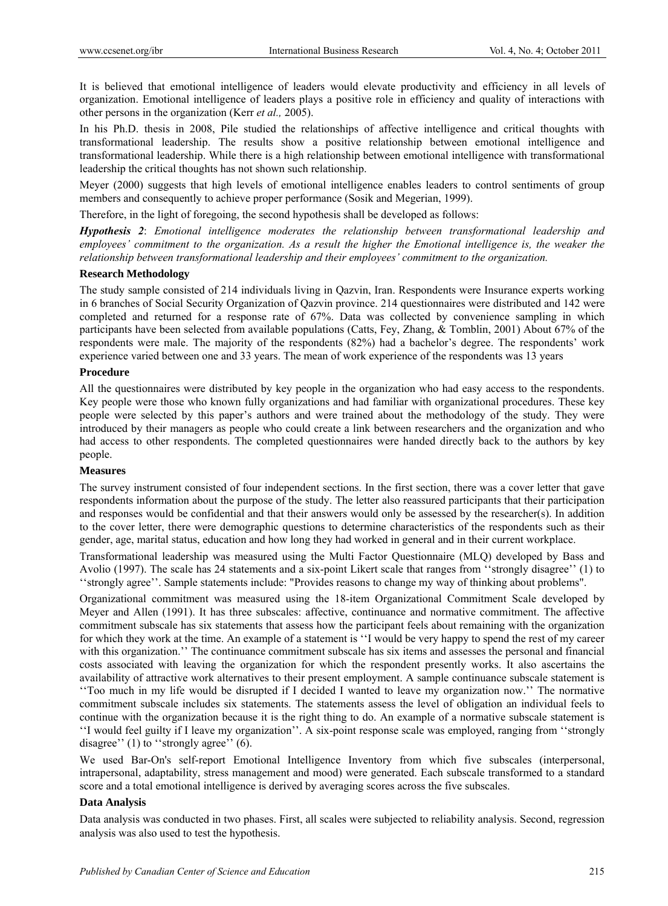It is believed that emotional intelligence of leaders would elevate productivity and efficiency in all levels of organization. Emotional intelligence of leaders plays a positive role in efficiency and quality of interactions with other persons in the organization (Kerr *et al.,* 2005).

In his Ph.D. thesis in 2008, Pile studied the relationships of affective intelligence and critical thoughts with transformational leadership. The results show a positive relationship between emotional intelligence and transformational leadership. While there is a high relationship between emotional intelligence with transformational leadership the critical thoughts has not shown such relationship.

Meyer (2000) suggests that high levels of emotional intelligence enables leaders to control sentiments of group members and consequently to achieve proper performance (Sosik and Megerian, 1999).

Therefore, in the light of foregoing, the second hypothesis shall be developed as follows:

*Hypothesis 2*: *Emotional intelligence moderates the relationship between transformational leadership and employees' commitment to the organization. As a result the higher the Emotional intelligence is, the weaker the relationship between transformational leadership and their employees' commitment to the organization.*

## **Research Methodology**

The study sample consisted of 214 individuals living in Qazvin, Iran. Respondents were Insurance experts working in 6 branches of Social Security Organization of Qazvin province. 214 questionnaires were distributed and 142 were completed and returned for a response rate of 67%. Data was collected by convenience sampling in which participants have been selected from available populations (Catts, Fey, Zhang, & Tomblin, 2001) About 67% of the respondents were male. The majority of the respondents (82%) had a bachelor's degree. The respondents' work experience varied between one and 33 years. The mean of work experience of the respondents was 13 years

#### **Procedure**

All the questionnaires were distributed by key people in the organization who had easy access to the respondents. Key people were those who known fully organizations and had familiar with organizational procedures. These key people were selected by this paper's authors and were trained about the methodology of the study. They were introduced by their managers as people who could create a link between researchers and the organization and who had access to other respondents. The completed questionnaires were handed directly back to the authors by key people.

#### **Measures**

The survey instrument consisted of four independent sections. In the first section, there was a cover letter that gave respondents information about the purpose of the study. The letter also reassured participants that their participation and responses would be confidential and that their answers would only be assessed by the researcher(s). In addition to the cover letter, there were demographic questions to determine characteristics of the respondents such as their gender, age, marital status, education and how long they had worked in general and in their current workplace.

Transformational leadership was measured using the Multi Factor Questionnaire (MLQ) developed by Bass and Avolio (1997). The scale has 24 statements and a six-point Likert scale that ranges from ''strongly disagree'' (1) to ''strongly agree''. Sample statements include: "Provides reasons to change my way of thinking about problems".

Organizational commitment was measured using the 18-item Organizational Commitment Scale developed by Meyer and Allen (1991). It has three subscales: affective, continuance and normative commitment. The affective commitment subscale has six statements that assess how the participant feels about remaining with the organization for which they work at the time. An example of a statement is ''I would be very happy to spend the rest of my career with this organization.'' The continuance commitment subscale has six items and assesses the personal and financial costs associated with leaving the organization for which the respondent presently works. It also ascertains the availability of attractive work alternatives to their present employment. A sample continuance subscale statement is ''Too much in my life would be disrupted if I decided I wanted to leave my organization now.'' The normative commitment subscale includes six statements. The statements assess the level of obligation an individual feels to continue with the organization because it is the right thing to do. An example of a normative subscale statement is ''I would feel guilty if I leave my organization''. A six-point response scale was employed, ranging from ''strongly disagree'' (1) to "strongly agree" (6).

We used Bar-On's self-report Emotional Intelligence Inventory from which five subscales (interpersonal, intrapersonal, adaptability, stress management and mood) were generated. Each subscale transformed to a standard score and a total emotional intelligence is derived by averaging scores across the five subscales.

#### **Data Analysis**

Data analysis was conducted in two phases. First, all scales were subjected to reliability analysis. Second, regression analysis was also used to test the hypothesis.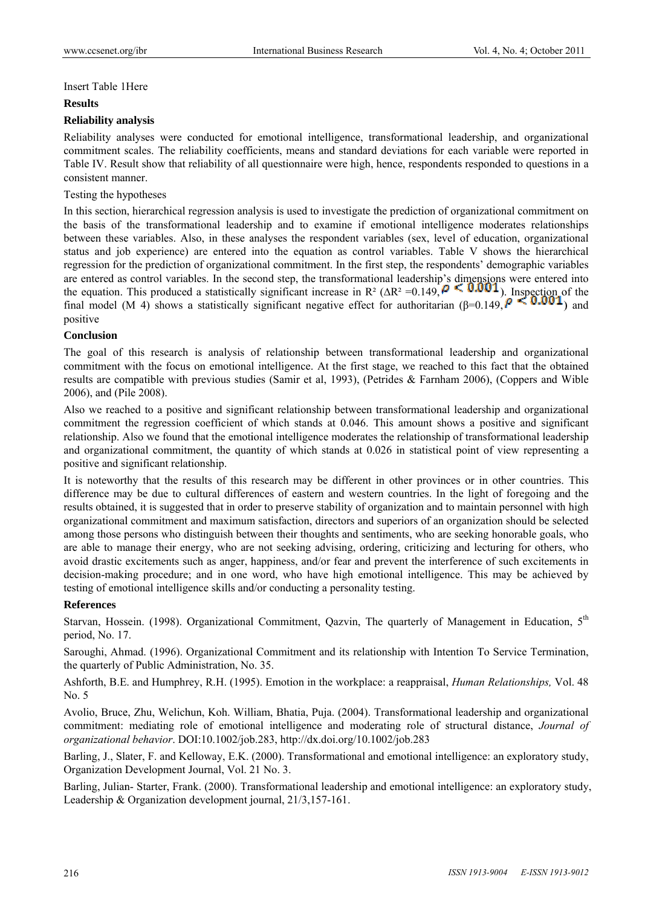Insert Table 1 Here

## **Results**

## **Reliability an nalysis**

Reliability analyses were conducted for emotional intelligence, transformational leadership, and organizational commitment scales. The reliability coefficients, means and standard deviations for each variable were reported in Table IV. Result show that reliability of all questionnaire were high, hence, respondents responded to questions in a consistent manner.

## Testing the hypotheses

In this section, hierarchical regression analysis is used to investigate the prediction of organizational commitment on the basis of the transformational leadership and to examine if emotional intelligence moderates relationships between these variables. Also, in these analyses the respondent variables (sex, level of education, organizational status and job experience) are entered into the equation as control variables. Table V shows the hierarchical regression for the prediction of organizational commitment. In the first step, the respondents' demographic variables are entered as the equation. final model (M 4) shows a statistically significant negative effect for authoritarian (β=0.149,  $P \sim 0.001$ ) and positive s control variab This produced bles. In the se d a statistically econd step, the y significant i e transformatio increase in R² onal leadership  $(∆R<sup>2</sup> = 0.149,$ p's dimensions ) s were entered ). Inspection o d into of the

## **Conclusion**

The goal of this research is analysis of relationship between transformational leadership and organizational commitment with the focus on emotional intelligence. At the first stage, we reached to this fact that the obtained results are compatible with previous studies (Samir et al, 1993), (Petrides & Farnham 2006), (Coppers and Wible 2006), and (Pile 2008).

Also we reached to a positive and significant relationship between transformational leadership and organizational commitment the regression coefficient of which stands at 0.046. This amount shows a positive and significant relationship. Also we found that the emotional intelligence moderates the relationship of transformational leadership and organizational commitment, the quantity of which stands at 0.026 in statistical point of view representing a positive and significant relationship.

It is noteworthy that the results of this research may be different in other provinces or in other countries. This difference may be due to cultural differences of eastern and western countries. In the light of foregoing and the results obtained, it is suggested that in order to preserve stability of organization and to maintain personnel with high organizational commitment and maximum satisfaction, directors and superiors of an organization should be selected among those persons who distinguish between their thoughts and sentiments, who are seeking honorable goals, who are able to manage their energy, who are not seeking advising, ordering, criticizing and lecturing for others, who avoid drastic excitements such as anger, happiness, and/or fear and prevent the interference of such excitements in decision-making procedure; and in one word, who have high emotional intelligence. This may be achieved by testing of emotional intelligence skills and/or conducting a personality testing.

## **References**

Starvan, Hossein. (1998). Organizational Commitment, Qazvin, The quarterly of Management in Education, 5<sup>th</sup> period, No. 17 7.

Saroughi, Ahmad. (1996). Organizational Commitment and its relationship with Intention To Service Termination, the quarterly of Public Administration, No. 35.

Ashforth, B.E. and Humphrey, R.H. (1995). Emotion in the workplace: a reappraisal, *Human Relationships*, Vol. 48 No. 5

Avolio, Bruce, Zhu, Welichun, Koh. William, Bhatia, Puja. (2004). Transformational leadership and organizational commitment: mediating role of emotional intelligence and moderating role of structural distance, *Journal of organizational behavior.* DOI:10.1002/job.283, http://dx.doi.org/10.1002/job.283

Barling, J., Slater, F. and Kelloway, E.K. (2000). Transformational and emotional intelligence: an exploratory study, Organization Development Journal, Vol. 21 No. 3.

Barling, Julian- Starter, Frank. (2000). Transformational leadership and emotional intelligence: an exploratory study, Leadership & Organization development journal, 21/3,157-161.